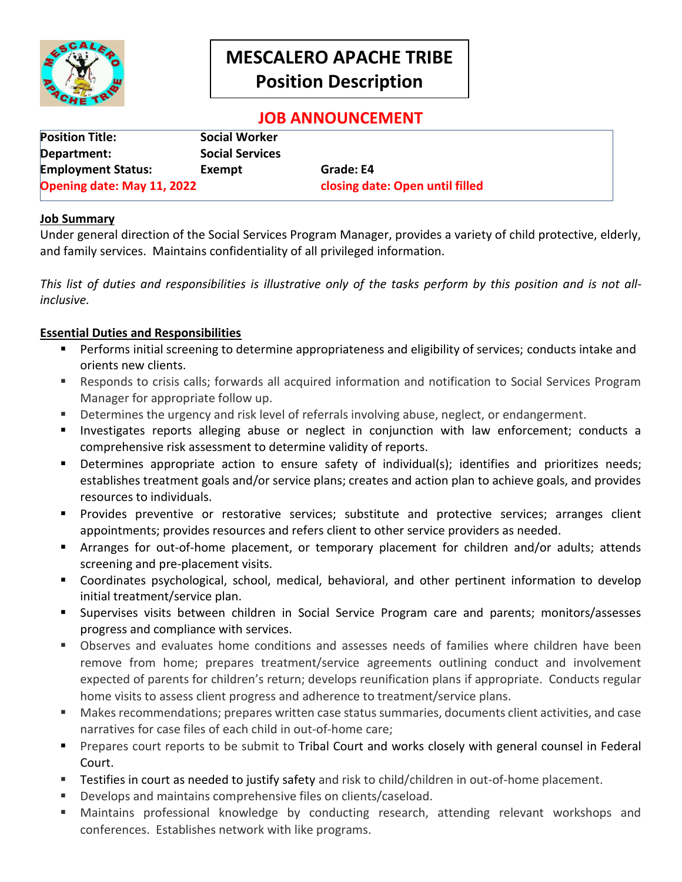

# **MESCALERO APACHE TRIBE Position Description**

# **JOB ANNOUNCEMENT**

| <b>Position Title:</b>     | Social Worker          |                                 |
|----------------------------|------------------------|---------------------------------|
| Department:                | <b>Social Services</b> |                                 |
| <b>Employment Status:</b>  | Exempt                 | Grade: E4                       |
| Opening date: May 11, 2022 |                        | closing date: Open until filled |

## **Job Summary**

Under general direction of the Social Services Program Manager, provides a variety of child protective, elderly, and family services. Maintains confidentiality of all privileged information.

*This list of duties and responsibilities is illustrative only of the tasks perform by this position and is not allinclusive.*

## **Essential Duties and Responsibilities**

- **Performs initial screening to determine appropriateness and eligibility of services; conducts intake and** orients new clients.
- Responds to crisis calls; forwards all acquired information and notification to Social Services Program Manager for appropriate follow up.
- Determines the urgency and risk level of referrals involving abuse, neglect, or endangerment.
- Investigates reports alleging abuse or neglect in conjunction with law enforcement; conducts a comprehensive risk assessment to determine validity of reports.
- Determines appropriate action to ensure safety of individual(s); identifies and prioritizes needs; establishes treatment goals and/or service plans; creates and action plan to achieve goals, and provides resources to individuals.
- **Provides preventive or restorative services; substitute and protective services; arranges client** appointments; provides resources and refers client to other service providers as needed.
- Arranges for out-of-home placement, or temporary placement for children and/or adults; attends screening and pre-placement visits.
- Coordinates psychological, school, medical, behavioral, and other pertinent information to develop initial treatment/service plan.
- Supervises visits between children in Social Service Program care and parents; monitors/assesses progress and compliance with services.
- Observes and evaluates home conditions and assesses needs of families where children have been remove from home; prepares treatment/service agreements outlining conduct and involvement expected of parents for children's return; develops reunification plans if appropriate. Conducts regular home visits to assess client progress and adherence to treatment/service plans.
- Makes recommendations; prepares written case status summaries, documents client activities, and case narratives for case files of each child in out-of-home care;
- **Prepares court reports to be submit to Tribal Court and works closely with general counsel in Federal** Court.
- **Testifies in court as needed to justify safety and risk to child/children in out-of-home placement.**
- Develops and maintains comprehensive files on clients/caseload.
- Maintains professional knowledge by conducting research, attending relevant workshops and conferences. Establishes network with like programs.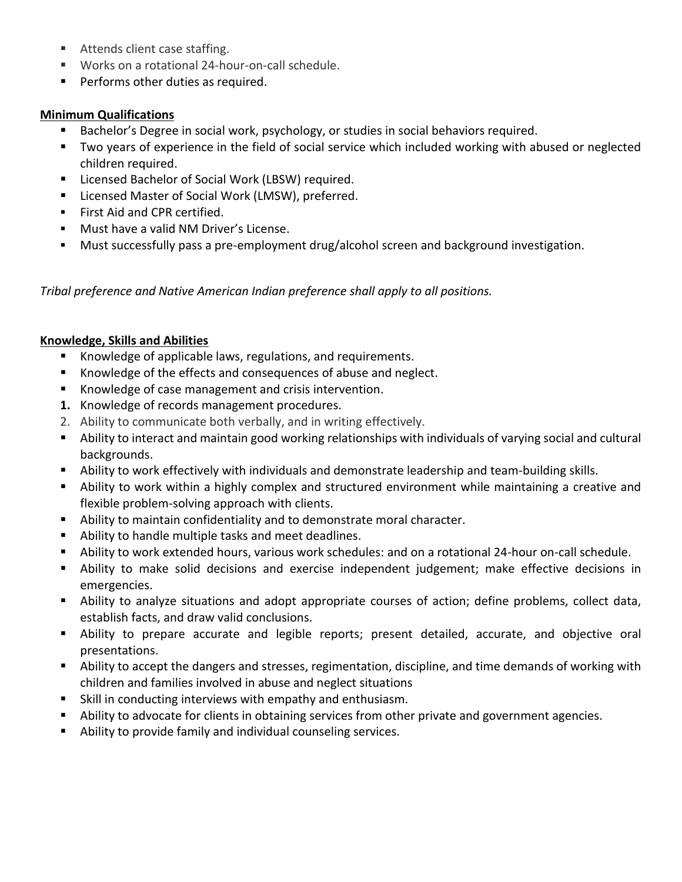- Attends client case staffing.
- Works on a rotational 24-hour-on-call schedule.
- **Performs other duties as required.**

# **Minimum Qualifications**

- Bachelor's Degree in social work, psychology, or studies in social behaviors required.
- Two years of experience in the field of social service which included working with abused or neglected children required.
- Licensed Bachelor of Social Work (LBSW) required.
- Licensed Master of Social Work (LMSW), preferred.
- **First Aid and CPR certified.**
- **Must have a valid NM Driver's License.**
- Must successfully pass a pre-employment drug/alcohol screen and background investigation.

*Tribal preference and Native American Indian preference shall apply to all positions.*

# **Knowledge, Skills and Abilities**

- Knowledge of applicable laws, regulations, and requirements.
- Knowledge of the effects and consequences of abuse and neglect.
- Knowledge of case management and crisis intervention.
- **1.** Knowledge of records management procedures.
- 2. Ability to communicate both verbally, and in writing effectively.
- Ability to interact and maintain good working relationships with individuals of varying social and cultural backgrounds.
- Ability to work effectively with individuals and demonstrate leadership and team-building skills.
- Ability to work within a highly complex and structured environment while maintaining a creative and flexible problem-solving approach with clients.
- Ability to maintain confidentiality and to demonstrate moral character.
- Ability to handle multiple tasks and meet deadlines.
- Ability to work extended hours, various work schedules: and on a rotational 24-hour on-call schedule.
- Ability to make solid decisions and exercise independent judgement; make effective decisions in emergencies.
- Ability to analyze situations and adopt appropriate courses of action; define problems, collect data, establish facts, and draw valid conclusions.
- Ability to prepare accurate and legible reports; present detailed, accurate, and objective oral presentations.
- Ability to accept the dangers and stresses, regimentation, discipline, and time demands of working with children and families involved in abuse and neglect situations
- Skill in conducting interviews with empathy and enthusiasm.
- Ability to advocate for clients in obtaining services from other private and government agencies.
- Ability to provide family and individual counseling services.